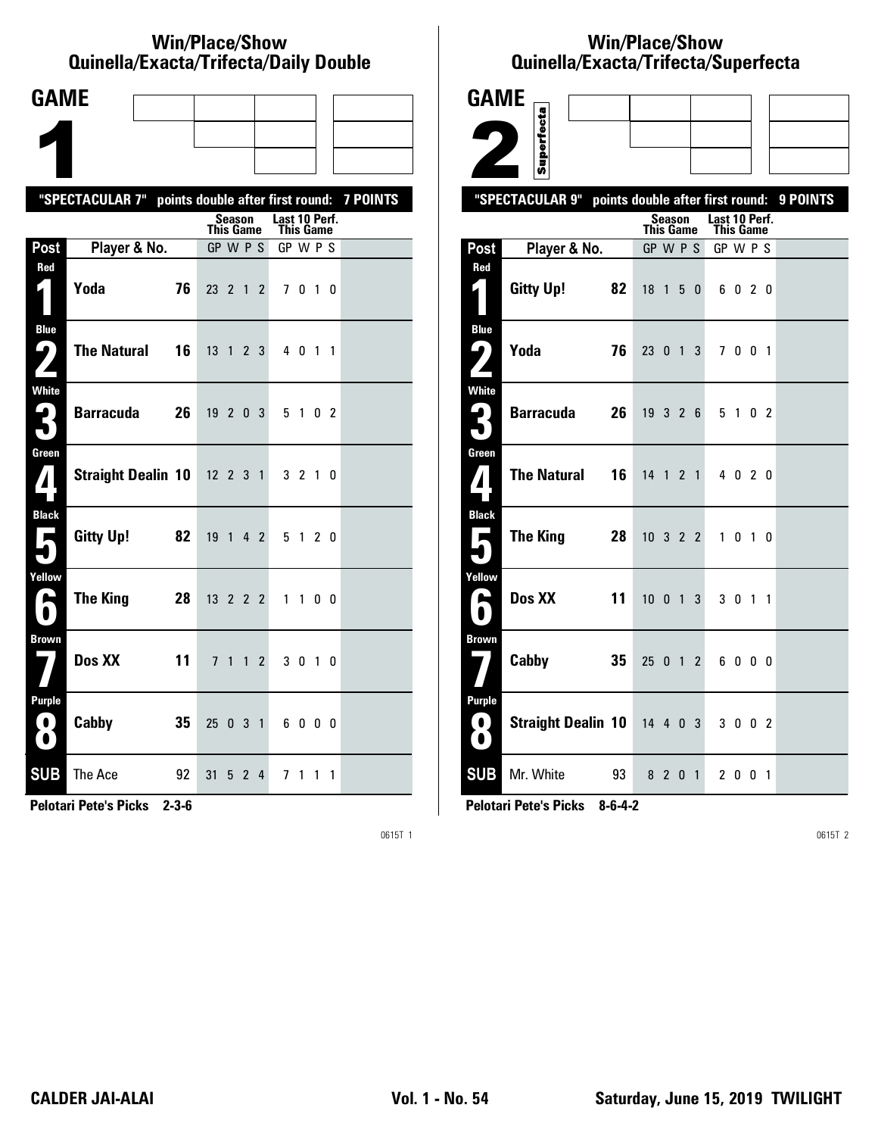#### **Win/Place/Show Qui nel la/Exacta/Tri fecta/Daily Dou ble**

| <b>GAME</b>                                                                   |                                                  |    |                  |        |                |                            |           |                |                 |
|-------------------------------------------------------------------------------|--------------------------------------------------|----|------------------|--------|----------------|----------------------------|-----------|----------------|-----------------|
|                                                                               |                                                  |    |                  |        |                |                            |           |                |                 |
|                                                                               |                                                  |    |                  |        |                |                            |           |                |                 |
|                                                                               | "SPECTACULAR 7" points double after first round: |    |                  |        |                |                            |           |                | <b>7 POINTS</b> |
|                                                                               |                                                  |    | <b>This Game</b> | Season |                | Last 10 Perf.<br>This Game |           |                |                 |
| Post                                                                          | Player & No.                                     |    | GP W P S         |        |                | GP W P S                   |           |                |                 |
| Red                                                                           | Yoda                                             | 76 | 23 2 1           |        | $\overline{2}$ |                            | 7010      |                |                 |
| <b>Blue</b><br>7                                                              | <b>The Natural</b>                               | 16 | $13 \t1 \t2 \t3$ |        |                |                            | 4 0 1 1   |                |                 |
| White<br>3                                                                    | <b>Barracuda</b>                                 | 26 | 19203            |        |                |                            | 5 1 0 2   |                |                 |
| Green<br>$\mathbf{Z}$                                                         | Straight Dealin 10 12 2 3 1                      |    |                  |        |                |                            | 3 2 1 0   |                |                 |
| <b>Black</b><br>$\overline{\phantom{a}}$                                      | Gitty Up!                                        | 82 | 19 1 4 2         |        |                |                            | 5 1 2 0   |                |                 |
| Yellow<br>H                                                                   | The King                                         | 28 | 13 2 2 2         |        |                |                            | $1\quad1$ | 0 <sub>0</sub> |                 |
| <b>Brown</b>                                                                  | Dos XX                                           | 11 |                  | 7 1 1  | $\mathbf{2}$   |                            | 3 0 1 0   |                |                 |
| <b>Purple</b><br>$\left( \begin{array}{c} 0 \end{array} \right)$<br>$\bullet$ | Cabby                                            | 35 | 25 0 3 1         |        |                |                            | 6000      |                |                 |
| <b>SUB</b>                                                                    | The Ace                                          | 92 | 31               | 5 2    | $\overline{4}$ |                            | 71        | $1\quad1$      |                 |

**Pelotari Pete's Picks 2-3-6**

0615T 1

# **Win/Place/Show Qui nel la/Exacta/Tri fecta/Super fecta**

| <b>GAME</b>                    |                             |                              |         |   |              |                                   |         |  |                                           |
|--------------------------------|-----------------------------|------------------------------|---------|---|--------------|-----------------------------------|---------|--|-------------------------------------------|
|                                |                             |                              |         |   |              |                                   |         |  |                                           |
|                                | Superfecta                  |                              |         |   |              |                                   |         |  |                                           |
|                                | "SPECTACULAR 9"             |                              |         |   |              |                                   |         |  | points double after first round: 9 POINTS |
|                                |                             | <b>This Game</b>             | Season  |   |              | Last 10 Perf.<br><b>This Game</b> |         |  |                                           |
| Post                           | Player & No.                | GP W P S                     |         |   |              | GP W P S                          |         |  |                                           |
| Red<br>$\mathbf{r}$            | <b>Gitty Up!</b><br>82      | 18 <sup>1</sup>              |         | 5 | $\mathbf{0}$ |                                   | 6 0 2 0 |  |                                           |
| <b>Blue</b><br>ر ما            | Yoda<br>76                  | 23 0 1 3                     |         |   |              |                                   | 7001    |  |                                           |
|                                |                             |                              |         |   |              |                                   |         |  |                                           |
| <b>White</b><br>$\mathbf{G}_1$ | <b>Barracuda</b><br>26      | 19326                        |         |   |              |                                   | 5 1 0 2 |  |                                           |
| Green<br>7                     | <b>The Natural</b><br>16    | 14 1 2 1                     |         |   |              |                                   | 4 0 2 0 |  |                                           |
| <b>Black</b><br>П              | <b>The King</b><br>28       | $10 \quad 3 \quad 2 \quad 2$ |         |   |              | $\mathbf{1}$                      | $01$ 0  |  |                                           |
| Yellow<br>┗                    | Dos XX<br>11                | $10 \quad 0 \quad 1$         |         |   | 3            |                                   | 3 0 1 1 |  |                                           |
| <b>Brown</b>                   | Cabby<br>35                 | 25012                        |         |   |              |                                   | 6000    |  |                                           |
| <b>Purple</b><br>0<br>O.       | Straight Dealin 10 14 4 0 3 |                              |         |   |              |                                   | 3 0 0 2 |  |                                           |
| <b>SUB</b>                     | Mr. White<br>93             |                              | 8 2 0 1 |   |              |                                   | 2 0 0 1 |  |                                           |

**Pelotari Pete's Picks 8-6-4-2**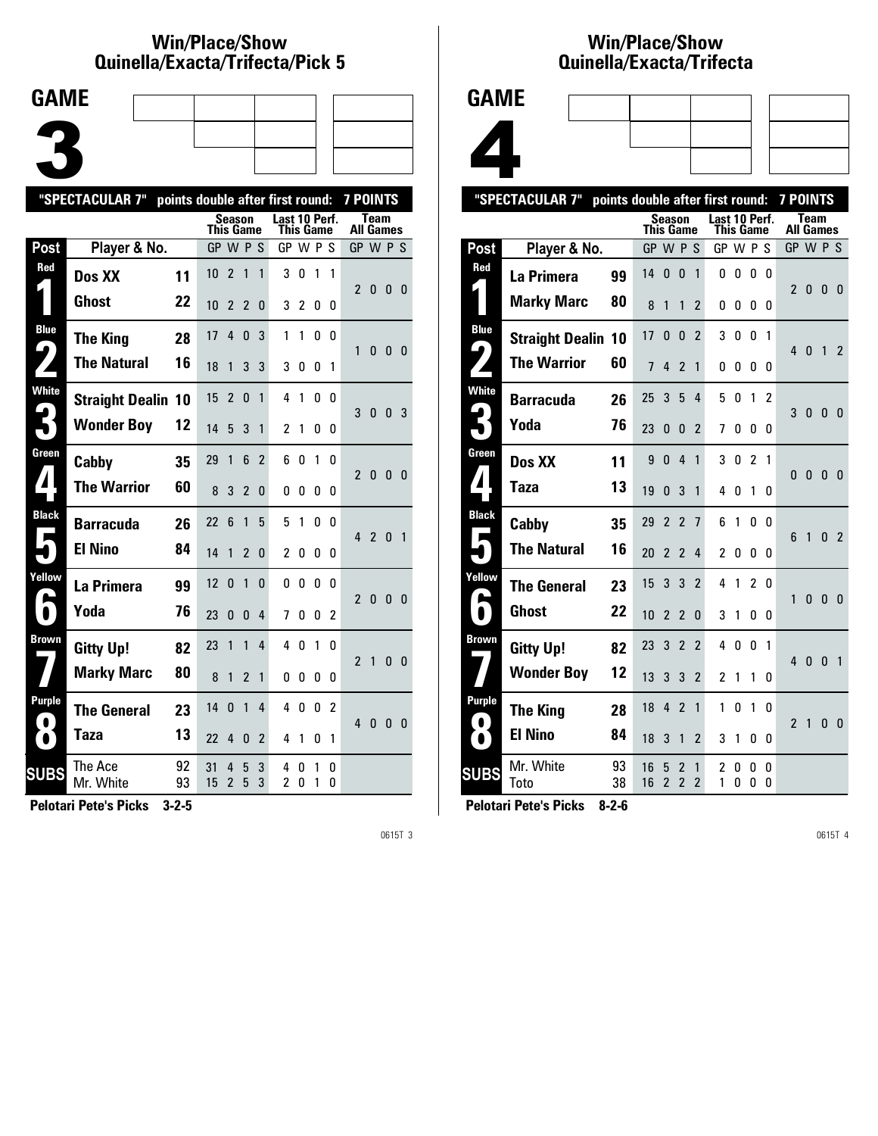#### **Win/Place/Show Qui nel la/Exacta/Tri fecta/Pick 5**



|              | "SPECTACULAR 7"           | points double after first round: |           |                     |                |                |                            |        |        |        | <b>7 POINTS</b>  |                |                |                |
|--------------|---------------------------|----------------------------------|-----------|---------------------|----------------|----------------|----------------------------|--------|--------|--------|------------------|----------------|----------------|----------------|
|              |                           |                                  | This Game | Season              |                |                | Last 10 Perf.<br>This Game |        |        |        | <b>All Games</b> | Team           |                |                |
| <b>Post</b>  | Player & No.              |                                  | GP W P S  |                     |                |                | GP W P S                   |        |        |        | GP W P S         |                |                |                |
| Red          | Dos XX                    | 11                               | 10        | $\overline{2}$      | 1              | 1              | 3                          | 0      | 1      | 1      |                  |                |                |                |
|              | Ghost                     | 22                               | 10        | 2                   | 2              | 0              | 3                          | 2      | 0      | 0      | $\mathfrak z$    | 0              | $\mathbf{0}$   | - 0            |
| <b>Blue</b>  | <b>The King</b>           | 28                               | 17        | 4                   | 0              | 3              | 1                          | 1      | 0      | 0      | 1                | 0              | 0 <sub>0</sub> |                |
| 9            | <b>The Natural</b>        | 16                               | 18        | 1                   | 3              | 3              | 3                          | 0      | 0      | 1      |                  |                |                |                |
| <b>White</b> | <b>Straight Dealin 10</b> |                                  | 15        | $\mathfrak{p}$      | 0              | 1              | 4                          | 1      | 0      | 0      |                  | 3 <sub>0</sub> | 0 <sup>3</sup> |                |
|              | <b>Wonder Boy</b>         | 12                               | 14        | 5                   | 3              | 1              | 2                          | 1      | 0      | 0      |                  |                |                |                |
| Green        | Cabby                     | 35                               | 29        | 1                   | 6              | $\overline{2}$ | 6                          | 0      | 1      | 0      | $\mathfrak z$    | $\mathbf{0}$   | - 0            | - 0            |
|              | <b>The Warrior</b>        | 60                               | 8         | 3                   | $\overline{2}$ | 0              | 0                          | 0      | 0      | 0      |                  |                |                |                |
| <b>Black</b> | Barracuda                 | 26                               | 22        | 6                   | 1              | 5              | 5                          | 1      | 0      | 0      |                  | 4 <sub>2</sub> | $\Omega$       | $\overline{1}$ |
|              | <b>El Nino</b>            | 84                               | 14        | 1                   | 2              | 0              | $\overline{2}$             | O      | 0      | 0      |                  |                |                |                |
| Yellow       | La Primera                | 99                               | 12        | $\mathbf{0}$        | 1              | $\Omega$       | 0                          | 0      | 0      | U      | $\mathfrak{p}$   | $\mathbf{0}$   | 0 <sub>0</sub> |                |
| $\bullet$    | Yoda                      | 76                               | 23        | 0                   | 0              | 4              | 7                          | O      | 0      | 2      |                  |                |                |                |
| Brown        | <b>Gitty Up!</b>          | 82                               | 23        | 1                   | 1              | 4              | 4                          | 0      | 1      | 0      | $\overline{2}$   | $\mathbf{1}$   | 0              | - 0            |
|              | <b>Marky Marc</b>         | 80                               | 8         | 1                   | $\overline{2}$ | 1              | 0                          | 0      | 0      | 0      |                  |                |                |                |
| Purple       | <b>The General</b>        | 23                               | 14        | $\Omega$            | 1              | 4              | 4                          | 0      | 0      | 2      | 4                | 0              | 0              | - 0            |
| $\bullet$    | <b>Taza</b>               | 13                               | 22        | 4                   | 0              | 2              | 4                          | 1      | 0      | 1      |                  |                |                |                |
| <b>SUBS</b>  | The Ace<br>Mr. White      | 92<br>93                         | 31<br>15  | 4<br>$\overline{2}$ | 5<br>5         | 3<br>3         | 4<br>2                     | 0<br>0 | 1<br>1 | 0<br>0 |                  |                |                |                |
|              |                           |                                  |           |                     |                |                |                            |        |        |        |                  |                |                |                |

**Pelotari Pete's Picks 3-2-5**

0615T 3

### **Win/Place/Show Qui nel la/Exacta/Tri fecta**



|                   | "SPECTACULAR 7"           |          | points double after first round: |                     |                               |                     |                |           |        |                | <b>7 POINTS</b> |                                 |              |                |
|-------------------|---------------------------|----------|----------------------------------|---------------------|-------------------------------|---------------------|----------------|-----------|--------|----------------|-----------------|---------------------------------|--------------|----------------|
|                   |                           |          | This Game                        | Season              |                               |                     | Last 10 Perf.  | This Game |        |                |                 | <b>Team</b><br><b>All Games</b> |              |                |
| Post              | Player & No.              |          | GP W P S                         |                     |                               |                     | GP W P S       |           |        |                | GP W P S        |                                 |              |                |
| Red               | La Primera                | 99       | 14                               | $\mathbf{0}$        | $\mathbf{0}$                  | 1                   | 0              | 0         | 0      | 0              |                 |                                 |              |                |
|                   | <b>Marky Marc</b>         | 80       | 8                                | 1                   | 1                             | 2                   | 0              | 0         | 0      | 0              | $\mathfrak z$   | 0                               | $\mathbf{0}$ | $\overline{0}$ |
| <b>Blue</b>       | <b>Straight Dealin 10</b> |          | 17                               | 0                   | $\mathbf{0}$                  | $\overline{2}$      | 3              | 0         | 0      | 1              |                 |                                 |              |                |
| 4                 | <b>The Warrior</b>        | 60       | $\overline{7}$                   | 4                   | $\overline{\phantom{a}}$      | 1                   | 0              | 0         | 0      | 0              | 4               | 0                               | $\mathbf{1}$ | 2              |
| White             | <b>Barracuda</b>          | 26       | 25                               | 3                   | 5                             | 4                   | 5              | 0         | 1      | $\overline{c}$ | 3               | 0                               | $\mathbf{0}$ | - 0            |
|                   | Yoda                      | 76       | 23                               | 0                   | 0                             | $\overline{2}$      | 7              | 0         | 0      | 0              |                 |                                 |              |                |
| Green             | Dos XX                    | 11       | 9                                | 0                   | 4                             | $\mathbf{1}$        | 3              | 0         | 2      | 1              | $\Omega$        | 0                               | 0            | - 0            |
| 7                 | Taza                      | 13       | 19                               | 0                   | 3                             | 1                   | 4              | 0         | 1      | 0              |                 |                                 |              |                |
| <b>Black</b><br>Г | Cabby                     | 35       | 29                               | $\overline{2}$      | $\overline{\phantom{a}}$      | $\overline{7}$      | 6              | 1         | 0      | 0              | 6               | $\mathbf{1}$                    | $\Omega$     | $\overline{2}$ |
|                   | <b>The Natural</b>        | 16       | 20                               | $\overline{2}$      | $\mathfrak z$                 | 4                   | $\overline{c}$ | 0         | 0      | 0              |                 |                                 |              |                |
| Yellow            | <b>The General</b>        | 23       | 15                               | 3                   | 3                             | $\overline{2}$      | 4              | 1         | 2      | 0              | 1               | $\mathbf{0}$                    | $\Omega$     | 0              |
| $\blacksquare$    | Ghost                     | 22       | 10                               | $\overline{2}$      | $\mathfrak{p}$                | $\Omega$            | 3              | 1         | 0      | 0              |                 |                                 |              |                |
| <b>Brown</b>      | <b>Gitty Up!</b>          | 82       | 23                               | 3                   | $\overline{2}$                | $\overline{2}$      | 4              | 0         | 0      | 1              | 4               | $\mathbf{0}$                    | $\Omega$     | $\overline{1}$ |
|                   | <b>Wonder Boy</b>         | 12       | 13                               | 3                   | 3                             | $\overline{2}$      | $\overline{c}$ | 1         | 1      | 0              |                 |                                 |              |                |
| <b>Purple</b>     | <b>The King</b>           | 28       | 18                               | 4                   | $\overline{2}$                | $\mathbf{1}$        | 1              | 0         | 1      | 0              | $\overline{2}$  | 1                               | $\mathbf{0}$ | - 0            |
| $\bullet$         | <b>El Nino</b>            | 84       | 18                               | 3                   | 1                             | $\overline{2}$      | 3              | 1         | 0      | 0              |                 |                                 |              |                |
| <b>SUBS</b>       | Mr. White<br>Toto         | 93<br>38 | 16<br>16                         | 5<br>$\overline{c}$ | 2<br>$\overline{\phantom{a}}$ | 1<br>$\overline{2}$ | 2<br>1         | 0<br>0    | 0<br>0 | 0<br>0         |                 |                                 |              |                |
|                   |                           |          |                                  |                     |                               |                     |                |           |        |                |                 |                                 |              |                |

**Pelotari Pete's Picks 8-2-6**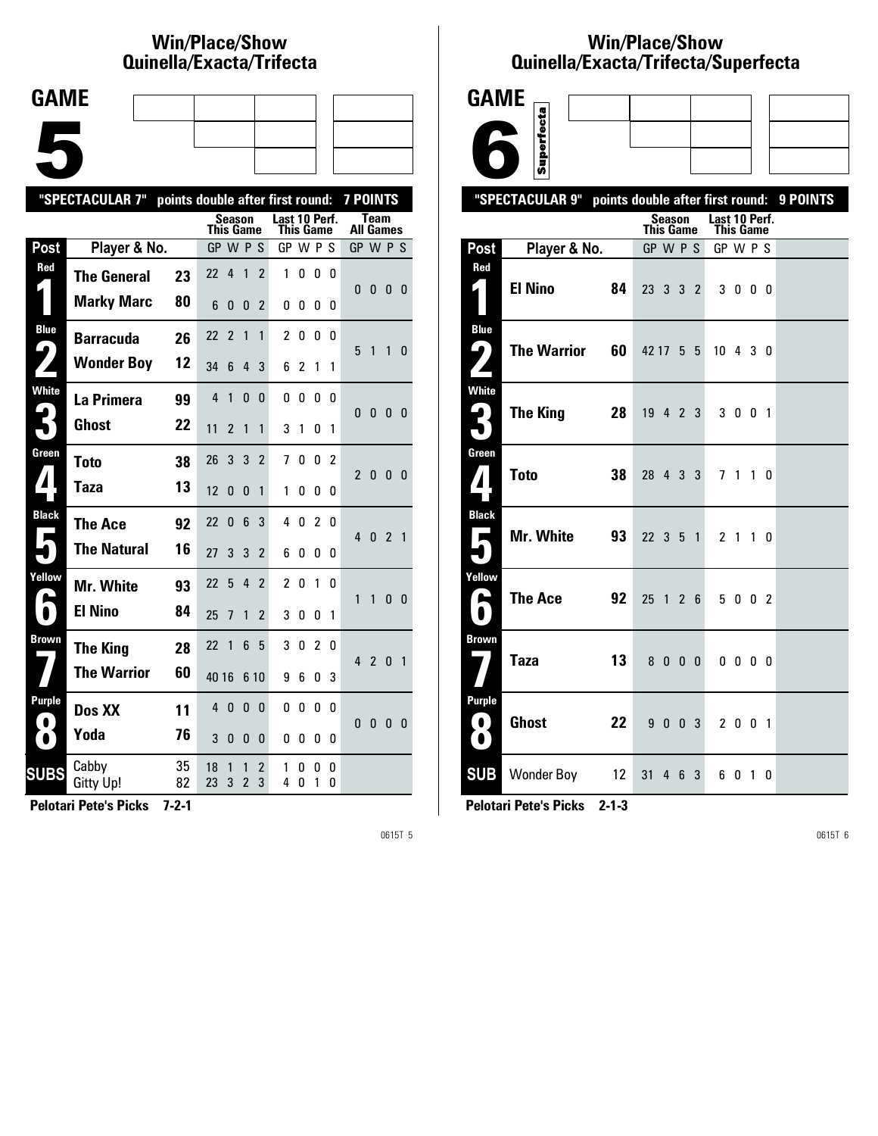# **Win/Place/Show Qui nel la/Exacta/Tri fecta**



|                       | "SPECTACULAR 7"    | points double after first round: |          |                            |                     |                |                            |        |                |                | <b>7 POINTS</b> |                |                |                |
|-----------------------|--------------------|----------------------------------|----------|----------------------------|---------------------|----------------|----------------------------|--------|----------------|----------------|-----------------|----------------|----------------|----------------|
|                       |                    |                                  |          | Season<br><b>This Game</b> |                     |                | Last 10 Perf.<br>This Game |        |                |                | All Games       | Team           |                |                |
| Post                  | Player & No.       |                                  |          | GP W P S                   |                     |                | GP W P S                   |        |                |                | GP W P S        |                |                |                |
| Red                   | <b>The General</b> | 23                               | 22       | 4                          | 1                   | $\overline{2}$ | 1                          | 0      | 0              | 0              |                 |                |                |                |
|                       | <b>Marky Marc</b>  | 80                               | 6        | 0                          | 0                   | 2              | 0                          | 0      | 0              | 0              | 0               | $\bf{0}$       | 0              | $\overline{0}$ |
| <b>Blue</b>           | <b>Barracuda</b>   | 26                               | 22       | $\overline{\phantom{a}}$   | 1                   | 1              | $\mathfrak z$              | 0      | 0              | n              |                 |                |                |                |
| $\blacktriangleright$ | <b>Wonder Boy</b>  | 12                               | 34       | 6                          | 4                   | 3              | 6                          | 2      | 1              | 1              | 5               | 1              | 1              | 0              |
| <b>White</b>          | La Primera         | 99                               | 4        | 1                          | 0                   | 0              | 0                          | 0      | 0              | 0              | $\Omega$        | $\mathbf{0}$   | 0              | $\mathbf{0}$   |
|                       | Ghost              | 22                               | 11       | 2                          | 1                   | 1              | 3                          | 1      | 0              | 1              |                 |                |                |                |
| Green                 | <b>Toto</b>        | 38                               | 26       | 3                          | 3                   | $\overline{2}$ | 7                          | 0      | 0              | $\overline{2}$ | 2               | $\mathbf{0}$   | $\mathbf{0}$   | $\overline{0}$ |
| $\mathbf{I}$          | Taza               | 13                               | 12       | 0                          | 0                   | 1              | 1                          | 0      | 0              | 0              |                 |                |                |                |
| <b>Black</b>          | <b>The Ace</b>     | 92                               | 22       | 0                          | 6                   | 3              | 4                          | 0      | $\overline{c}$ | 0              | 40              |                | $\overline{2}$ | $\overline{1}$ |
|                       | <b>The Natural</b> | 16                               | 27       | 3                          | 3                   | 2              | 6                          | 0      | 0              | 0              |                 |                |                |                |
| Yellow                | <b>Mr. White</b>   | 93                               | 22       | 5                          | 4                   | $\mathfrak z$  | $\mathfrak z$              | 0      | 1              | n              | 1               | $\mathbf{1}$   | 0              | $\overline{0}$ |
|                       | <b>El Nino</b>     | 84                               | 25       | 7                          | 1                   | 2              | 3                          | 0      | 0              | 1              |                 |                |                |                |
| Brown                 | <b>The King</b>    | 28                               | 22       | 1                          | 6                   | 5              | 3                          | 0      | $\overline{2}$ | 0              | 4               | $\overline{2}$ | 0              | $\overline{1}$ |
|                       | <b>The Warrior</b> | 60                               | 40 16    |                            | 6 10                |                | 9                          | 6      | 0              | 3              |                 |                |                |                |
| Purple                | Dos XX             | 11                               | 4        | 0                          | 0                   | 0              | 0                          | 0      | 0              | 0              |                 |                |                |                |
|                       | Yoda               | 76                               | 3        | 0                          | 0                   | 0              | 0                          | 0      | 0              | 0              | 0               | $\mathbf{0}$   | $\mathbf{0}$   | $\mathbf{0}$   |
| <b>SUBS</b>           | Cabby<br>Gitty Up! | 35<br>82                         | 18<br>23 | 1<br>3                     | 1<br>$\overline{2}$ | 2<br>3         | 1<br>4                     | 0<br>0 | 0<br>1         | 0<br>0         |                 |                |                |                |
|                       |                    |                                  |          |                            |                     |                |                            |        |                |                |                 |                |                |                |

**Pelotari Pete's Picks 7-2-1**

0615T 5

# **Win/Place/Show Qui nel la/Exacta/Tri fecta/Super fecta**

| <b>GAME</b>                                                           |                                                           |                                   |   |                                   |  |  |
|-----------------------------------------------------------------------|-----------------------------------------------------------|-----------------------------------|---|-----------------------------------|--|--|
|                                                                       | Superfecta                                                |                                   |   |                                   |  |  |
|                                                                       |                                                           |                                   |   |                                   |  |  |
|                                                                       | "SPECTACULAR 9" points double after first round: 9 POINTS |                                   |   |                                   |  |  |
|                                                                       |                                                           | <b>Season</b><br><b>This Game</b> |   | Last 10 Perf.<br><b>This Game</b> |  |  |
| Post                                                                  | Player & No.                                              | GP W P S                          |   | GP W P S                          |  |  |
| Red<br>$\overline{\phantom{a}}$                                       | <b>El Nino</b><br>84                                      | 23 3 3 2                          |   | 3 0 0 0                           |  |  |
| <b>Blue</b><br>ر ما<br>$\mathsf{L}^{\blacktriangle}$                  | <b>The Warrior</b><br>60                                  | 42 17 5 5                         |   | 10430                             |  |  |
| <b>White</b><br>3                                                     | The King 28                                               | 19 4 2 3                          |   | 3 0 0 1                           |  |  |
| Green<br>$\mathbf{V}$                                                 | <b>Toto</b><br>38                                         | 28 4 3 3                          |   | 7 1 1 0                           |  |  |
| <b>Black</b>                                                          | <b>Mr. White</b><br>93                                    | 22 3 5 1                          |   | 2 1 1 0                           |  |  |
| Yellow<br>$\overline{\phantom{a}}$<br>$\bullet$                       | <b>The Ace</b><br>92                                      | 25 1 2 6                          |   | 5 0 0 2                           |  |  |
| <b>Brown</b>                                                          | 13<br>Taza                                                | 8000                              |   | $0\ 0\ 0\ 0$                      |  |  |
| <b>Purple</b><br>$\left( \begin{array}{c} 0 \end{array} \right)$<br>O | <b>Ghost</b><br>22                                        | 9 0<br>0 <sub>3</sub>             |   | 2 0 0 1                           |  |  |
| <b>SUB</b>                                                            | Wonder Boy 12                                             | 31<br>46                          | 3 | 6010                              |  |  |

**Pelotari Pete's Picks 2-1-3**